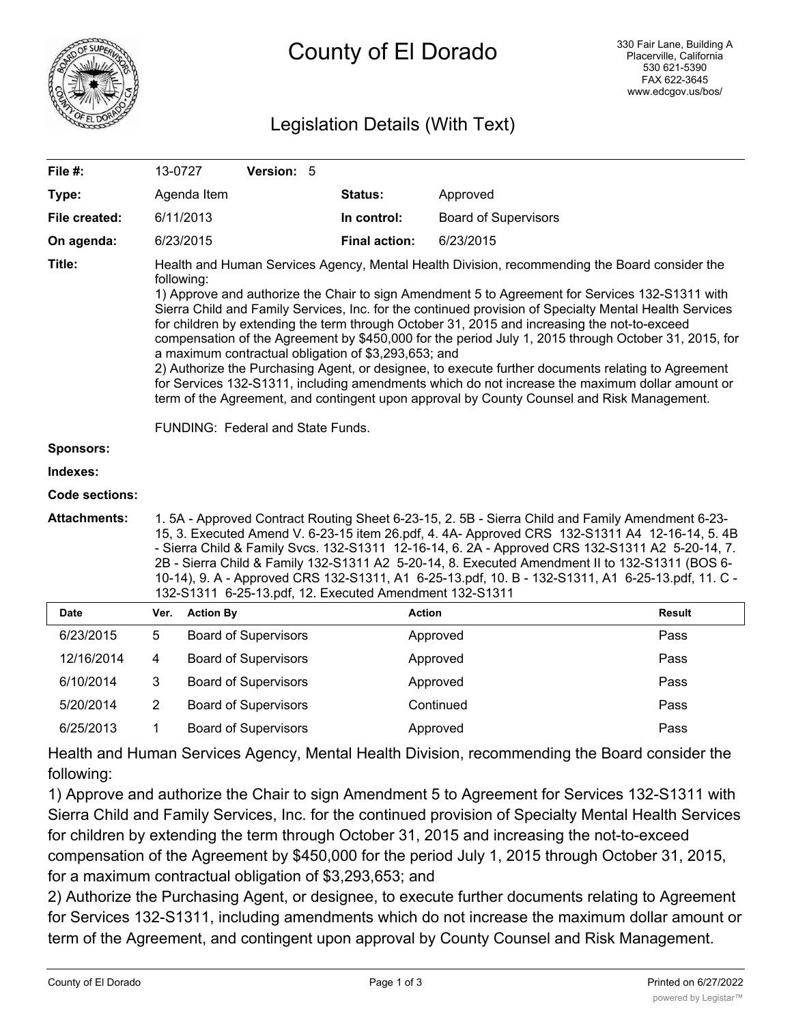

# Legislation Details (With Text)

| File #:               | 13-0727                                                                                                                                                                                                                                                                                                                                                                                                                                                                                                                                                                                                                                                                                                                                                                                                                                                                                                                              | Version: 5                  |                      |                             |               |
|-----------------------|--------------------------------------------------------------------------------------------------------------------------------------------------------------------------------------------------------------------------------------------------------------------------------------------------------------------------------------------------------------------------------------------------------------------------------------------------------------------------------------------------------------------------------------------------------------------------------------------------------------------------------------------------------------------------------------------------------------------------------------------------------------------------------------------------------------------------------------------------------------------------------------------------------------------------------------|-----------------------------|----------------------|-----------------------------|---------------|
| Type:                 |                                                                                                                                                                                                                                                                                                                                                                                                                                                                                                                                                                                                                                                                                                                                                                                                                                                                                                                                      | Agenda Item                 | Status:              | Approved                    |               |
| File created:         | 6/11/2013                                                                                                                                                                                                                                                                                                                                                                                                                                                                                                                                                                                                                                                                                                                                                                                                                                                                                                                            |                             | In control:          | <b>Board of Supervisors</b> |               |
| On agenda:            |                                                                                                                                                                                                                                                                                                                                                                                                                                                                                                                                                                                                                                                                                                                                                                                                                                                                                                                                      | 6/23/2015                   | <b>Final action:</b> | 6/23/2015                   |               |
| Title:                | Health and Human Services Agency, Mental Health Division, recommending the Board consider the<br>following:<br>1) Approve and authorize the Chair to sign Amendment 5 to Agreement for Services 132-S1311 with<br>Sierra Child and Family Services, Inc. for the continued provision of Specialty Mental Health Services<br>for children by extending the term through October 31, 2015 and increasing the not-to-exceed<br>compensation of the Agreement by \$450,000 for the period July 1, 2015 through October 31, 2015, for<br>a maximum contractual obligation of \$3,293,653; and<br>2) Authorize the Purchasing Agent, or designee, to execute further documents relating to Agreement<br>for Services 132-S1311, including amendments which do not increase the maximum dollar amount or<br>term of the Agreement, and contingent upon approval by County Counsel and Risk Management.<br>FUNDING: Federal and State Funds. |                             |                      |                             |               |
| Sponsors:             |                                                                                                                                                                                                                                                                                                                                                                                                                                                                                                                                                                                                                                                                                                                                                                                                                                                                                                                                      |                             |                      |                             |               |
| Indexes:              |                                                                                                                                                                                                                                                                                                                                                                                                                                                                                                                                                                                                                                                                                                                                                                                                                                                                                                                                      |                             |                      |                             |               |
| <b>Code sections:</b> |                                                                                                                                                                                                                                                                                                                                                                                                                                                                                                                                                                                                                                                                                                                                                                                                                                                                                                                                      |                             |                      |                             |               |
| <b>Attachments:</b>   | 1.5A - Approved Contract Routing Sheet 6-23-15, 2.5B - Sierra Child and Family Amendment 6-23-<br>15, 3. Executed Amend V. 6-23-15 item 26.pdf, 4. 4A- Approved CRS 132-S1311 A4 12-16-14, 5. 4B<br>- Sierra Child & Family Svcs. 132-S1311 12-16-14, 6. 2A - Approved CRS 132-S1311 A2 5-20-14, 7.<br>2B - Sierra Child & Family 132-S1311 A2 5-20-14, 8. Executed Amendment II to 132-S1311 (BOS 6-<br>10-14), 9. A - Approved CRS 132-S1311, A1 6-25-13.pdf, 10. B - 132-S1311, A1 6-25-13.pdf, 11. C -<br>132-S1311 6-25-13.pdf, 12. Executed Amendment 132-S1311                                                                                                                                                                                                                                                                                                                                                                |                             |                      |                             |               |
| <b>Date</b>           | Ver.                                                                                                                                                                                                                                                                                                                                                                                                                                                                                                                                                                                                                                                                                                                                                                                                                                                                                                                                 | <b>Action By</b>            |                      | <b>Action</b>               | <b>Result</b> |
| 6/23/2015             | 5                                                                                                                                                                                                                                                                                                                                                                                                                                                                                                                                                                                                                                                                                                                                                                                                                                                                                                                                    | <b>Board of Supervisors</b> |                      | Approved                    | Pass          |
| 12/16/2014            | 4                                                                                                                                                                                                                                                                                                                                                                                                                                                                                                                                                                                                                                                                                                                                                                                                                                                                                                                                    | <b>Board of Supervisors</b> |                      | Approved                    | Pass          |
| 6/10/2014             | 3                                                                                                                                                                                                                                                                                                                                                                                                                                                                                                                                                                                                                                                                                                                                                                                                                                                                                                                                    | <b>Board of Supervisors</b> |                      | Approved                    | Pass          |
| 5/20/2014             | $\overline{2}$                                                                                                                                                                                                                                                                                                                                                                                                                                                                                                                                                                                                                                                                                                                                                                                                                                                                                                                       | <b>Board of Supervisors</b> |                      | Continued                   | Pass          |
| 6/25/2013             | 1                                                                                                                                                                                                                                                                                                                                                                                                                                                                                                                                                                                                                                                                                                                                                                                                                                                                                                                                    | <b>Board of Supervisors</b> |                      | Approved                    | Pass          |

Health and Human Services Agency, Mental Health Division, recommending the Board consider the following:

1) Approve and authorize the Chair to sign Amendment 5 to Agreement for Services 132-S1311 with Sierra Child and Family Services, Inc. for the continued provision of Specialty Mental Health Services for children by extending the term through October 31, 2015 and increasing the not-to-exceed compensation of the Agreement by \$450,000 for the period July 1, 2015 through October 31, 2015, for a maximum contractual obligation of \$3,293,653; and

2) Authorize the Purchasing Agent, or designee, to execute further documents relating to Agreement for Services 132-S1311, including amendments which do not increase the maximum dollar amount or term of the Agreement, and contingent upon approval by County Counsel and Risk Management.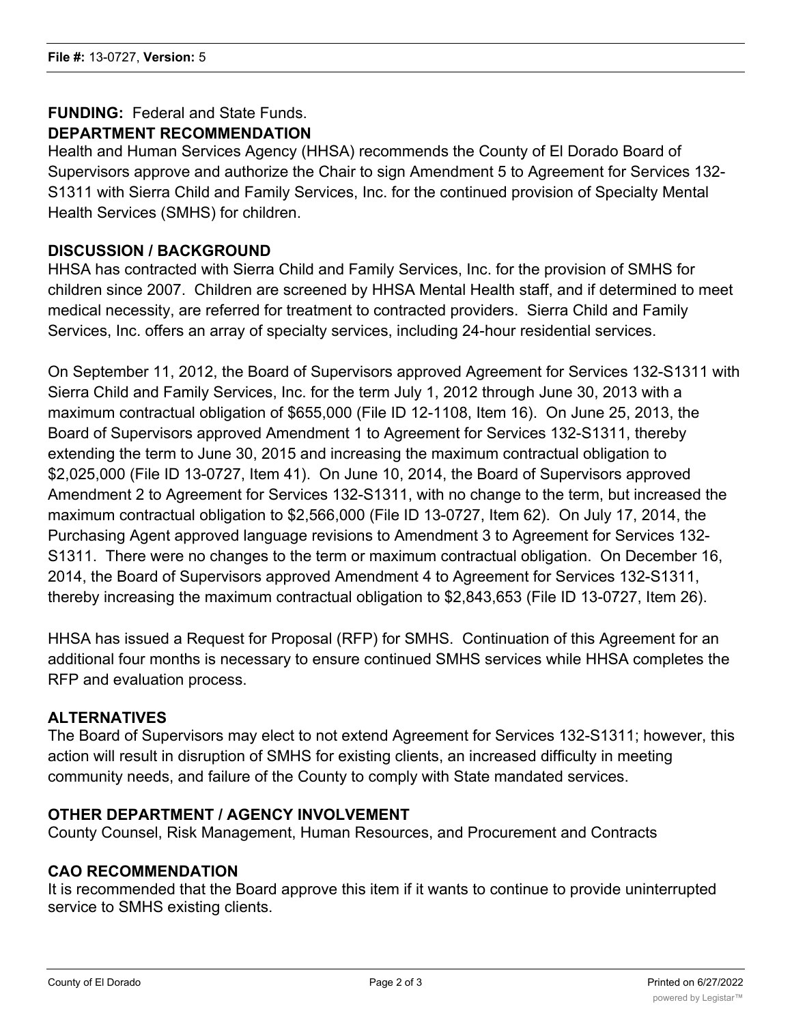#### **FUNDING:** Federal and State Funds. **DEPARTMENT RECOMMENDATION**

Health and Human Services Agency (HHSA) recommends the County of El Dorado Board of Supervisors approve and authorize the Chair to sign Amendment 5 to Agreement for Services 132- S1311 with Sierra Child and Family Services, Inc. for the continued provision of Specialty Mental Health Services (SMHS) for children.

# **DISCUSSION / BACKGROUND**

HHSA has contracted with Sierra Child and Family Services, Inc. for the provision of SMHS for children since 2007. Children are screened by HHSA Mental Health staff, and if determined to meet medical necessity, are referred for treatment to contracted providers. Sierra Child and Family Services, Inc. offers an array of specialty services, including 24-hour residential services.

On September 11, 2012, the Board of Supervisors approved Agreement for Services 132-S1311 with Sierra Child and Family Services, Inc. for the term July 1, 2012 through June 30, 2013 with a maximum contractual obligation of \$655,000 (File ID 12-1108, Item 16). On June 25, 2013, the Board of Supervisors approved Amendment 1 to Agreement for Services 132-S1311, thereby extending the term to June 30, 2015 and increasing the maximum contractual obligation to \$2,025,000 (File ID 13-0727, Item 41). On June 10, 2014, the Board of Supervisors approved Amendment 2 to Agreement for Services 132-S1311, with no change to the term, but increased the maximum contractual obligation to \$2,566,000 (File ID 13-0727, Item 62). On July 17, 2014, the Purchasing Agent approved language revisions to Amendment 3 to Agreement for Services 132- S1311. There were no changes to the term or maximum contractual obligation. On December 16, 2014, the Board of Supervisors approved Amendment 4 to Agreement for Services 132-S1311, thereby increasing the maximum contractual obligation to \$2,843,653 (File ID 13-0727, Item 26).

HHSA has issued a Request for Proposal (RFP) for SMHS. Continuation of this Agreement for an additional four months is necessary to ensure continued SMHS services while HHSA completes the RFP and evaluation process.

### **ALTERNATIVES**

The Board of Supervisors may elect to not extend Agreement for Services 132-S1311; however, this action will result in disruption of SMHS for existing clients, an increased difficulty in meeting community needs, and failure of the County to comply with State mandated services.

### **OTHER DEPARTMENT / AGENCY INVOLVEMENT**

County Counsel, Risk Management, Human Resources, and Procurement and Contracts

### **CAO RECOMMENDATION**

It is recommended that the Board approve this item if it wants to continue to provide uninterrupted service to SMHS existing clients.